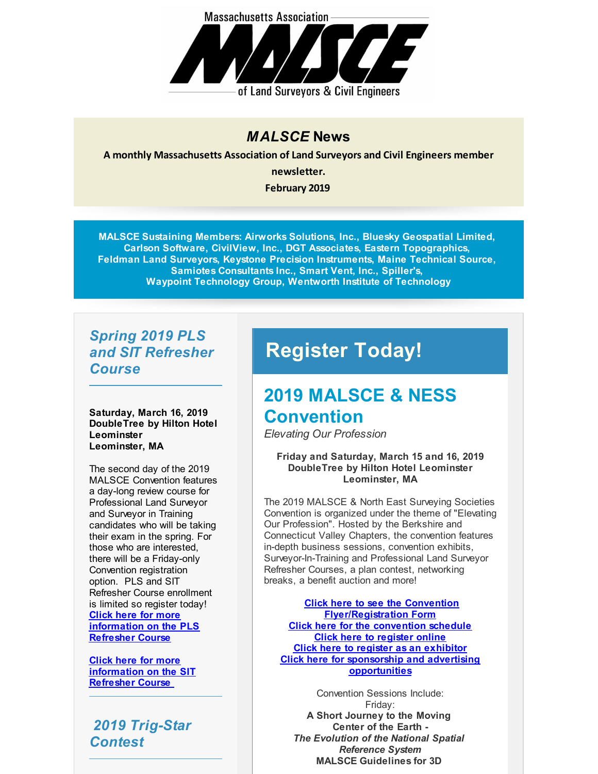

#### *MALSCE* **News**

**A monthly Massachusetts Association of Land Surveyors and Civil Engineers member**

**newsletter.**

**February 2019**

**MALSCE Sustaining Members: Airworks Solutions, Inc., Bluesky Geospatial Limited, Carlson Software, CivilView, Inc., DGT Associates, Eastern Topographics, Feldman Land Surveyors, Keystone Precision Instruments, Maine Technical Source, Samiotes Consultants Inc., Smart Vent, Inc., Spiller's, Waypoint Technology Group, Wentworth Institute of Technology**

#### *Spring 2019 PLS and SIT Refresher Course*

**Saturday, March 16, 2019 DoubleTree by Hilton Hotel Leominster Leominster, MA**

The second day of the 2019 MALSCE Convention features a day-long review course for Professional Land Surveyor and Surveyor in Training candidates who will be taking their exam in the spring. For those who are interested, there will be a Friday-only Convention registration option. PLS and SIT Refresher Course enrollment is limited so register today! **Click here for more [information](http://r20.rs6.net/tn.jsp?f=001PiJ7rTK0_ux7GstWrfMTwMeaUfiy0NlCuFYwnDWjwVMPpCh0dD76TzvOTtPgTYkcgznD4GXL6ynP5dMGXdaGkOD_J-zgGG_eol3s5PLIX1yMj_uJiNR4BOjEs7c1rW8W7H5roJ04wEPbRZfWN6xN9ETgTHkZjWJ4_-2nP7EFx5PMEP88T_zDCABfTgsvaqTx_ZN1epzUXMfACT6Hxl-RxqBLAxCBSQx0O_Hu8O5nbJY=&c=&ch=) on the PLS Refresher Course**

**Click here for more [information](http://r20.rs6.net/tn.jsp?f=001PiJ7rTK0_ux7GstWrfMTwMeaUfiy0NlCuFYwnDWjwVMPpCh0dD76TzvOTtPgTYkcNNmzHTmLFTvCnb3VCIu3ND90ote9g5sZl6I4poNjkRVCxGkRPEkWeRYxZoZ7o1py0YPG_xdTmWDkBi__XQx0hburp6iiYLh574y2cqVLuG7CP1yLcIqg9acQrP_-77G9wZAmEwlSi49lFi9QXuAfuF9K3Q6KbtpHcsmVkotccXc=&c=&ch=) on the SIT Refresher Course**

*2019 Trig-Star Contest*

# **Register Today!**

### **2019 MALSCE & NESS Convention**

*Elevating Our Profession*

**Friday and Saturday, March 15 and 16, 2019 DoubleTree by Hilton Hotel Leominster Leominster, MA**

The 2019 MALSCE & North East Surveying Societies Convention is organized under the theme of "Elevating Our Profession". Hosted by the Berkshire and Connecticut Valley Chapters, the convention features in-depth business sessions, convention exhibits, Surveyor-In-Training and Professional Land Surveyor Refresher Courses, a plan contest, networking breaks, a benefit auction and more!

**Click here to see the Convention [Flyer/Registration](http://r20.rs6.net/tn.jsp?f=001PiJ7rTK0_ux7GstWrfMTwMeaUfiy0NlCuFYwnDWjwVMPpCh0dD76T7orpJwJHhe2wQXi55UqspRdG0r7DRmOwhOHjuJOj8AKNgVSLOgCMUq5Ej_sJ4pCqO2skAykoAvtWfdSecZUh2rkI5JSK_LPWYBQnJQaJybaTYHIaCu_eNFwlPsr4Til7l2URK2uUV1J6KNES9KAZygvg21zZZMLpSCsv2HfVt-T3N083rLGRHCgcGYSDPKqiQCp3ARI-dfY&c=&ch=) Form Click here for the [convention](http://r20.rs6.net/tn.jsp?f=001PiJ7rTK0_ux7GstWrfMTwMeaUfiy0NlCuFYwnDWjwVMPpCh0dD76T7orpJwJHhe2VnLfGerD17mzaJFZR7iDAbs2g4Sac2c6pcFdajD9eSScRMGFqjo4-1aFcupZxjXXwwHETuULPCpj4PfkaRpsO3g4KHxDPmfXBY5fa0N4PnMt41RSQaNzYd9P_ql0M3gx4kPBfZmyO0nn7x5nYUdtROJoebAREm6ix9XwTMzHdslvh24mEcq5xjJB_ROgut3tvWd-c7nFXpc=&c=&ch=) schedule Click here to [register](http://r20.rs6.net/tn.jsp?f=001PiJ7rTK0_ux7GstWrfMTwMeaUfiy0NlCuFYwnDWjwVMPpCh0dD76Twp3yb0WDks7nkqN1NHpUhQocY_pQUUvkbG0UnvoWdZEZZtPD0Q60VScGfhFS39VGy8rB9K9DiJQXpI9fusMNoRu1umajnjKkozvUrDHMP0ZbJAM7ZAEL1VRpPGc_r2fICdEWi0lVGEyQeCv9k4sOHpwO4TIokFicYqfc0a7gpG90h0DueUAm8Jz2vldvDY8Ug8AYXXFjoDc&c=&ch=) online Click here to register as an [exhibitor](http://r20.rs6.net/tn.jsp?f=001PiJ7rTK0_ux7GstWrfMTwMeaUfiy0NlCuFYwnDWjwVMPpCh0dD76Twp3yb0WDks7nkqN1NHpUhQocY_pQUUvkbG0UnvoWdZEZZtPD0Q60VScGfhFS39VGy8rB9K9DiJQXpI9fusMNoRu1umajnjKkozvUrDHMP0ZbJAM7ZAEL1VRpPGc_r2fICdEWi0lVGEyQeCv9k4sOHpwO4TIokFicYqfc0a7gpG90h0DueUAm8Jz2vldvDY8Ug8AYXXFjoDc&c=&ch=) Click here for sponsorship and advertising [opportunities](http://r20.rs6.net/tn.jsp?f=001PiJ7rTK0_ux7GstWrfMTwMeaUfiy0NlCuFYwnDWjwVMPpCh0dD76T7orpJwJHhe2l-k0An3KZuACZX0piixtIo7bm6C_sE1m8wOReHCGZUlo3hlO76vp5SjuLoTlOaH8FhSyoNqtJnbGSqtO44bOQOCreu6NgrdU0ChyMcjgLbWulURXaFsUIKTD18IYHK-sY1WK_9otlnSl_S7KHwTeuTuUA8a-59S9Wncob3STyRy2db7NEktWcQ==&c=&ch=)**

Convention Sessions Include: Friday: **A Short Journey to the Moving Center of the Earth -** *The Evolution of the National Spatial Reference System* **MALSCE Guidelines for 3D**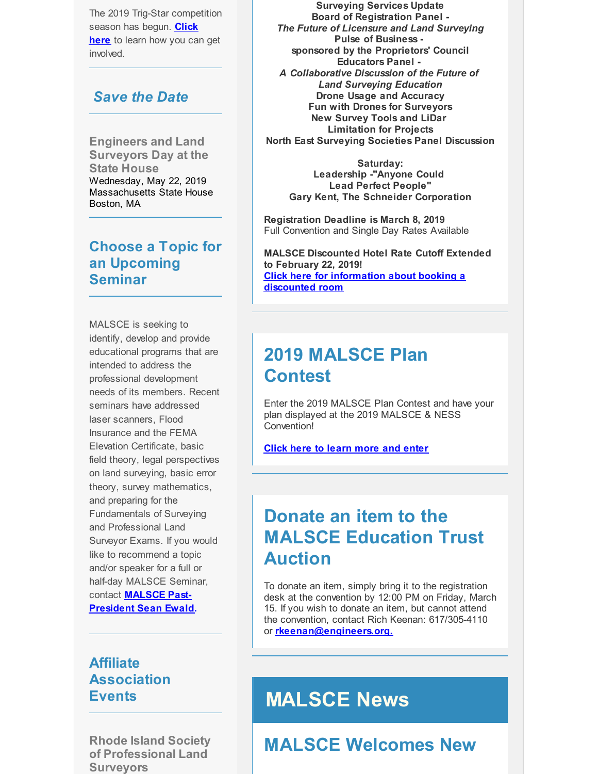The 2019 Trig-Star competition [season](http://r20.rs6.net/tn.jsp?f=001PiJ7rTK0_ux7GstWrfMTwMeaUfiy0NlCuFYwnDWjwVMPpCh0dD76T7orpJwJHhe24F1HZnFzYHutgs6-Qf4v1Ufu4MiVLW_2h_FGUAc31eirZ5gm7w68TgJ6NcyoqSErwCLIom-pBn9gGN24UC87wbL6TaCrNqyq4ky9DOvbndb9oBSsVCHb4tihilKhz9v2cVb-pb8vqNIbb4l_1Woevw==&c=&ch=) has begun. **Click here** to learn how you can get involved.

#### *Save the Date*

**Engineers and Land Surveyors Day at the State House** Wednesday, May 22, 2019 Massachusetts State House Boston, MA

#### **Choose a Topic for an Upcoming Seminar**

MALSCE is seeking to identify, develop and provide educational programs that are intended to address the professional development needs of its members. Recent seminars have addressed laser scanners, Flood Insurance and the FEMA Elevation Certificate, basic field theory, legal perspectives on land surveying, basic error theory, survey mathematics, and preparing for the Fundamentals of Surveying and Professional Land Surveyor Exams. If you would like to recommend a topic and/or speaker for a full or half-day MALSCE Seminar, contact **MALSCE Past-[President](mailto:sewald@bscgroup.com) Sean Ewald.**

#### **Affiliate Association Events**

**Rhode Island Society of Professional Land Surveyors**

**Surveying Services Update Board of Registration Panel -** *The Future of Licensure and Land Surveying* **Pulse of Business sponsored by the Proprietors' Council Educators Panel -** *A Collaborative Discussion of the Future of Land Surveying Education* **Drone Usage and Accuracy Fun with Drones for Surveyors New Survey Tools and LiDar Limitation for Projects North East Surveying Societies Panel Discussion**

**Saturday: Leadership -"Anyone Could Lead Perfect People" Gary Kent, The Schneider Corporation**

**Registration Deadline is March 8, 2019** Full Convention and Single Day Rates Available

**MALSCE Discounted Hotel Rate Cutoff Extended to February 22, 2019! Click here for [information](http://r20.rs6.net/tn.jsp?f=001PiJ7rTK0_ux7GstWrfMTwMeaUfiy0NlCuFYwnDWjwVMPpCh0dD76T-kSCwWfhaKq4BRAKKZwOf10wyy6AcOl_HYgrQFA_z2zjA0yCAE8IDB26Seel5yMHDY5NFf3xE3gwkqMoirBWin-_QLauxR86G8mx7-KBC9Ml1qy2Wt_qMEICMLtc5JeCwVicMN-LiVvzwRiT-hUOkfqtHezvhpAtja2amZMsx2GrtlQT12718xnNxryMiaC0w9NvEa-RPCmACaXJRljsHDyi1c0b_6rol0IDsJKcg1TdWiRpxAp058=&c=&ch=) about booking a discounted room**

### **2019 MALSCE Plan Contest**

Enter the 2019 MALSCE Plan Contest and have your plan displayed at the 2019 MALSCE & NESS Convention!

**Click here to [learn](http://r20.rs6.net/tn.jsp?f=001PiJ7rTK0_ux7GstWrfMTwMeaUfiy0NlCuFYwnDWjwVMPpCh0dD76T6VsW-2v5N8PZTe8sxIGfaVWjzNDtIEbuDdo7KobJBGKnRV-_B-u5sTQfplJKlN7m8Ll_zZMGsxCKLS0XPmcbztlwRV4s0pteMo7Yp67r5_TzZ7A4l78vwaPk1X5xZk_4kgflGaBSpj-Papzy5vDiX_lEhzb1Q1HICl4_dejxwcXNQ0ZeF6HcSFVOHsmWYnGmg==&c=&ch=) more and enter**

### **Donate an item to the MALSCE Education Trust Auction**

To donate an item, simply bring it to the registration desk at the convention by 12:00 PM on Friday, March 15. If you wish to donate an item, but cannot attend the convention, contact Rich Keenan: 617/305-4110 or **[rkeenan@engineers.org.](mailto:rkeenan@engineers.org)**

### **MALSCE News**

### **MALSCE Welcomes New**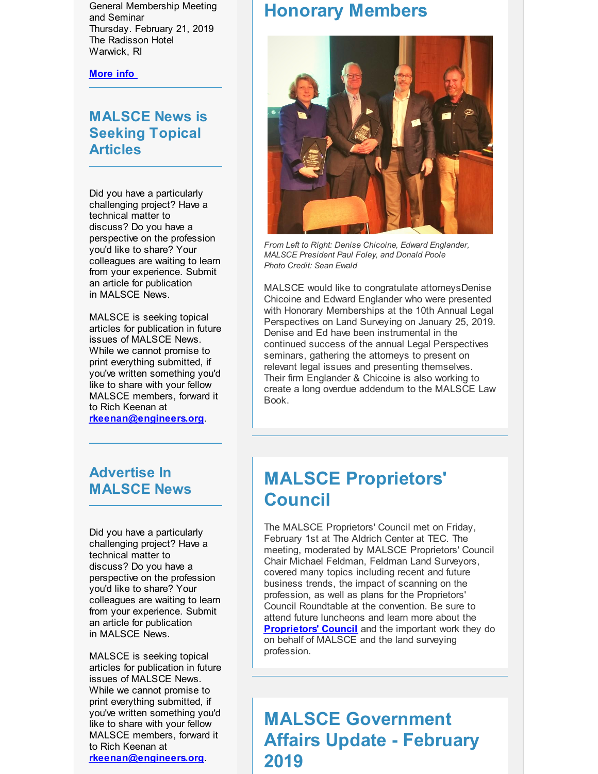General Membership Meeting and Seminar Thursday. February 21, 2019 The Radisson Hotel Warwick, RI

**[More](http://r20.rs6.net/tn.jsp?f=001PiJ7rTK0_ux7GstWrfMTwMeaUfiy0NlCuFYwnDWjwVMPpCh0dD76T7orpJwJHhe2pNdPTWu066XZs_RKi75fc2dHF1aRuQHmO8Mee-uazy5HaZ-xndX1E68uBisj0egVhYfKrZ8FGpzLCDHb2jT2VjyP5JaFaGGWAojYgYVO4vgAS4Rbbw1IU6yEs3sn2OMDnD1WFMWUFkljdIdaGij5uFjdua2wqP5Mgc6FZyhHVc0vYP4Jo4F6aL8r-cibdqDM&c=&ch=) info**

#### **MALSCE News is Seeking Topical Articles**

Did you have a particularly challenging project? Have a technical matter to discuss? Do you have a perspective on the profession you'd like to share? Your colleagues are waiting to learn from your experience. Submit an article for publication in MALSCE News.

MALSCE is seeking topical articles for publication in future issues of MALSCE News. While we cannot promise to print everything submitted, if you've written something you'd like to share with your fellow MALSCE members, forward it to Rich Keenan at **[rkeenan@engineers.org](mailto:rkeenan@engineers.org)**.

#### **Advertise In MALSCE News**

Did you have a particularly challenging project? Have a technical matter to discuss? Do you have a perspective on the profession you'd like to share? Your colleagues are waiting to learn from your experience. Submit an article for publication in MALSCE News.

MALSCE is seeking topical articles for publication in future issues of MALSCE News. While we cannot promise to print everything submitted, if you've written something you'd like to share with your fellow MALSCE members, forward it to Rich Keenan at **[rkeenan@engineers.org](mailto:rkeenan@engineers.org)**.

#### **Honorary Members**



*From Left to Right: Denise Chicoine, Edward Englander, MALSCE President Paul Foley, and Donald Poole Photo Credit: Sean Ewald*

MALSCE would like to congratulate attorneysDenise Chicoine and Edward Englander who were presented with Honorary Memberships at the 10th Annual Legal Perspectives on Land Surveying on January 25, 2019. Denise and Ed have been instrumental in the continued success of the annual Legal Perspectives seminars, gathering the attorneys to present on relevant legal issues and presenting themselves. Their firm Englander & Chicoine is also working to create a long overdue addendum to the MALSCE Law Book.

### **MALSCE Proprietors' Council**

The MALSCE Proprietors' Council met on Friday, February 1st at The Aldrich Center at TEC. The meeting, moderated by MALSCE Proprietors' Council Chair Michael Feldman, Feldman Land Surveyors, covered many topics including recent and future business trends, the impact of scanning on the profession, as well as plans for the Proprietors' Council Roundtable at the convention. Be sure to attend future luncheons and learn more about the **[Proprietors'](http://r20.rs6.net/tn.jsp?f=001PiJ7rTK0_ux7GstWrfMTwMeaUfiy0NlCuFYwnDWjwVMPpCh0dD76T94LnjACPIkUpMhwI9G2wSumfXVy4WBRpo0Niuhcl0mcTtIV6fOlcKJ1R_nNMPT4XOztX1-nG38iamTul-j4PRqi6vQqVOHmAknBscSYdZcfvt-AMtiniGL2d1N0RFgx8JRmOh7zVt82LK276Vi6p6TCH-UV7Dg1BQ==&c=&ch=) Council** and the important work they do on behalf of MALSCE and the land surveying profession.

### **MALSCE Government Affairs Update - February 2019**